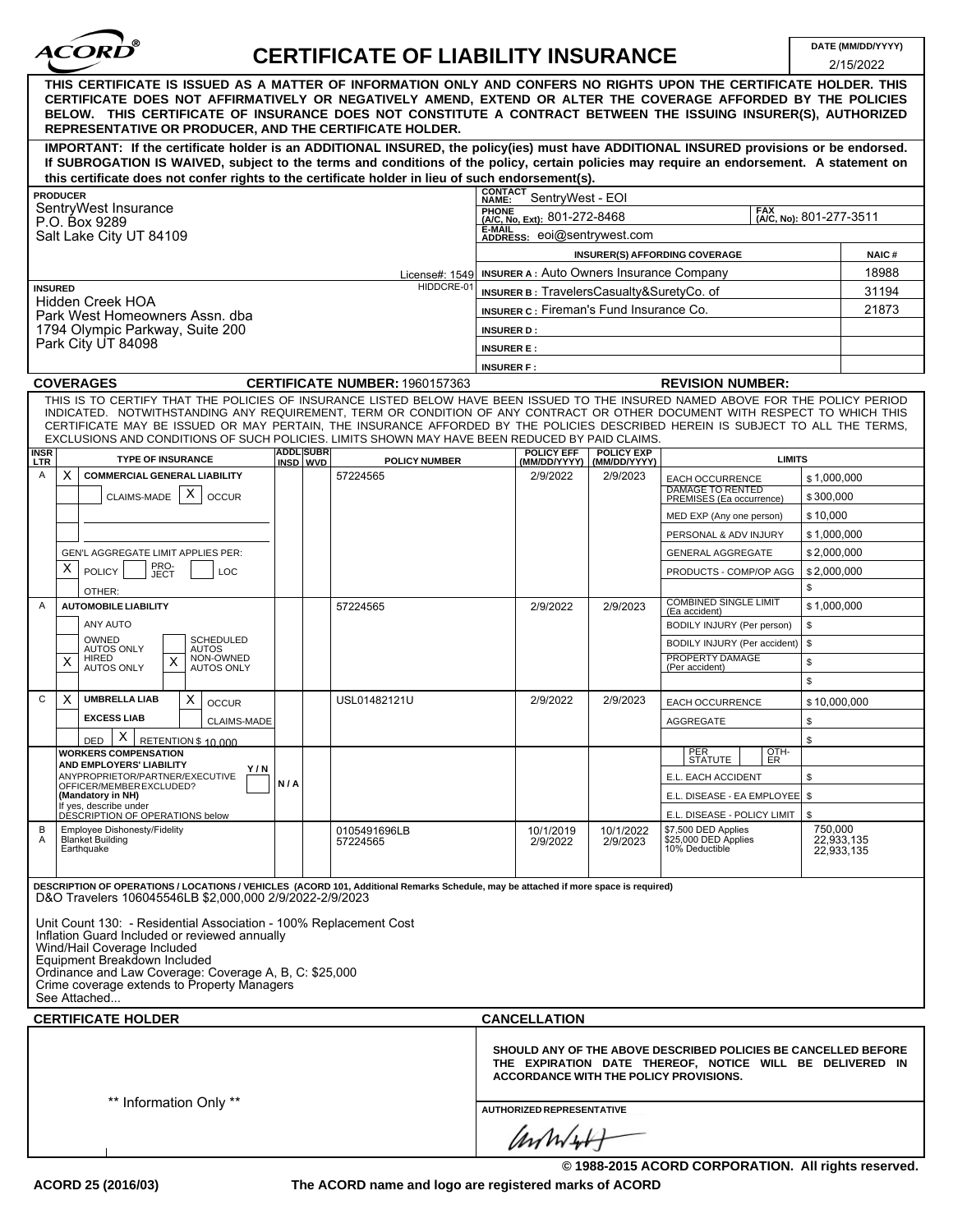| <b>ACORD</b> |  |
|--------------|--|
|              |  |

## **CERTIFICATE OF LIABILITY INSURANCE**

2/15/2022

|                                                                                                                                                                                                                                                                                                                                                                                                                                                                                                    |                  |                                       |                                                                                |                                   |                                                                                                                            | ZI 15/ZUZZ                          |  |
|----------------------------------------------------------------------------------------------------------------------------------------------------------------------------------------------------------------------------------------------------------------------------------------------------------------------------------------------------------------------------------------------------------------------------------------------------------------------------------------------------|------------------|---------------------------------------|--------------------------------------------------------------------------------|-----------------------------------|----------------------------------------------------------------------------------------------------------------------------|-------------------------------------|--|
| THIS CERTIFICATE IS ISSUED AS A MATTER OF INFORMATION ONLY AND CONFERS NO RIGHTS UPON THE CERTIFICATE HOLDER. THIS<br>CERTIFICATE DOES NOT AFFIRMATIVELY OR NEGATIVELY AMEND, EXTEND OR ALTER THE COVERAGE AFFORDED BY THE POLICIES<br>BELOW. THIS CERTIFICATE OF INSURANCE DOES NOT CONSTITUTE A CONTRACT BETWEEN THE ISSUING INSURER(S), AUTHORIZED<br>REPRESENTATIVE OR PRODUCER, AND THE CERTIFICATE HOLDER.                                                                                   |                  |                                       |                                                                                |                                   |                                                                                                                            |                                     |  |
| IMPORTANT: If the certificate holder is an ADDITIONAL INSURED, the policy(ies) must have ADDITIONAL INSURED provisions or be endorsed.                                                                                                                                                                                                                                                                                                                                                             |                  |                                       |                                                                                |                                   |                                                                                                                            |                                     |  |
| If SUBROGATION IS WAIVED, subject to the terms and conditions of the policy, certain policies may require an endorsement. A statement on                                                                                                                                                                                                                                                                                                                                                           |                  |                                       |                                                                                |                                   |                                                                                                                            |                                     |  |
| this certificate does not confer rights to the certificate holder in lieu of such endorsement(s).                                                                                                                                                                                                                                                                                                                                                                                                  |                  |                                       |                                                                                |                                   |                                                                                                                            |                                     |  |
| <b>PRODUCER</b><br>SentryWest Insurance                                                                                                                                                                                                                                                                                                                                                                                                                                                            |                  |                                       | CONTACT<br>NAME: SentryWest - EOI                                              |                                   |                                                                                                                            |                                     |  |
| P.O. Box 9289                                                                                                                                                                                                                                                                                                                                                                                                                                                                                      |                  |                                       | <b>FAX</b><br>PHONE<br>(A/C, No, Ext): 801-272-8468<br>(A/C, No): 801-277-3511 |                                   |                                                                                                                            |                                     |  |
| Salt Lake City UT 84109                                                                                                                                                                                                                                                                                                                                                                                                                                                                            |                  |                                       | <b>E-MAIL</b><br>ADDRESS: eoi@sentrywest.com                                   |                                   |                                                                                                                            |                                     |  |
|                                                                                                                                                                                                                                                                                                                                                                                                                                                                                                    |                  |                                       |                                                                                |                                   | <b>INSURER(S) AFFORDING COVERAGE</b>                                                                                       | <b>NAIC#</b>                        |  |
|                                                                                                                                                                                                                                                                                                                                                                                                                                                                                                    |                  | License#: 1549                        | <b>INSURER A: Auto Owners Insurance Company</b>                                |                                   |                                                                                                                            | 18988                               |  |
| HIDDCRE-01<br><b>INSURED</b><br><b>Hidden Creek HOA</b><br>Park West Homeowners Assn. dba                                                                                                                                                                                                                                                                                                                                                                                                          |                  |                                       | INSURER B: TravelersCasualty&SuretyCo. of<br>31194                             |                                   |                                                                                                                            |                                     |  |
|                                                                                                                                                                                                                                                                                                                                                                                                                                                                                                    |                  |                                       | <b>INSURER C: Fireman's Fund Insurance Co.</b><br>21873                        |                                   |                                                                                                                            |                                     |  |
| 1794 Olympic Parkway, Suite 200                                                                                                                                                                                                                                                                                                                                                                                                                                                                    |                  |                                       | <b>INSURER D:</b>                                                              |                                   |                                                                                                                            |                                     |  |
| Park City UT 84098                                                                                                                                                                                                                                                                                                                                                                                                                                                                                 |                  |                                       | <b>INSURER E:</b>                                                              |                                   |                                                                                                                            |                                     |  |
|                                                                                                                                                                                                                                                                                                                                                                                                                                                                                                    |                  |                                       | <b>INSURER F:</b>                                                              |                                   |                                                                                                                            |                                     |  |
| <b>COVERAGES</b>                                                                                                                                                                                                                                                                                                                                                                                                                                                                                   |                  | <b>CERTIFICATE NUMBER: 1960157363</b> |                                                                                |                                   | <b>REVISION NUMBER:</b>                                                                                                    |                                     |  |
| THIS IS TO CERTIFY THAT THE POLICIES OF INSURANCE LISTED BELOW HAVE BEEN ISSUED TO THE INSURED NAMED ABOVE FOR THE POLICY PERIOD<br>INDICATED. NOTWITHSTANDING ANY REQUIREMENT, TERM OR CONDITION OF ANY CONTRACT OR OTHER DOCUMENT WITH RESPECT TO WHICH THIS<br>CERTIFICATE MAY BE ISSUED OR MAY PERTAIN, THE INSURANCE AFFORDED BY THE POLICIES DESCRIBED HEREIN IS SUBJECT TO ALL THE TERMS,<br>EXCLUSIONS AND CONDITIONS OF SUCH POLICIES. LIMITS SHOWN MAY HAVE BEEN REDUCED BY PAID CLAIMS. | <b>ADDL</b> SUBR |                                       |                                                                                |                                   |                                                                                                                            |                                     |  |
| <b>INSR</b><br>LTR<br><b>TYPE OF INSURANCE</b>                                                                                                                                                                                                                                                                                                                                                                                                                                                     | INSD WVD         | <b>POLICY NUMBER</b>                  | <b>POLICY EFF</b><br>(MM/DD/YYYY)                                              | <b>POLICY EXP</b><br>(MM/DD/YYYY) | <b>LIMITS</b>                                                                                                              |                                     |  |
| X<br><b>COMMERCIAL GENERAL LIABILITY</b><br>Α                                                                                                                                                                                                                                                                                                                                                                                                                                                      |                  | 57224565                              | 2/9/2022                                                                       | 2/9/2023                          | EACH OCCURRENCE<br><b>DAMAGE TO RENTED</b>                                                                                 | \$1,000.000                         |  |
| X<br><b>CLAIMS-MADE</b><br><b>OCCUR</b>                                                                                                                                                                                                                                                                                                                                                                                                                                                            |                  |                                       |                                                                                |                                   | PREMISES (Ea occurrence)                                                                                                   | \$300,000                           |  |
|                                                                                                                                                                                                                                                                                                                                                                                                                                                                                                    |                  |                                       |                                                                                |                                   | MED EXP (Any one person)                                                                                                   | \$10,000                            |  |
|                                                                                                                                                                                                                                                                                                                                                                                                                                                                                                    |                  |                                       |                                                                                |                                   | PERSONAL & ADV INJURY                                                                                                      | \$1,000,000                         |  |
| GEN'L AGGREGATE LIMIT APPLIES PER:                                                                                                                                                                                                                                                                                                                                                                                                                                                                 |                  |                                       |                                                                                |                                   | <b>GENERAL AGGREGATE</b>                                                                                                   | \$2,000,000                         |  |
| PRO-<br>JECT<br>х<br><b>POLICY</b><br>LOC                                                                                                                                                                                                                                                                                                                                                                                                                                                          |                  |                                       |                                                                                |                                   | PRODUCTS - COMP/OP AGG                                                                                                     | \$2,000,000                         |  |
| OTHER:                                                                                                                                                                                                                                                                                                                                                                                                                                                                                             |                  |                                       |                                                                                |                                   |                                                                                                                            | \$                                  |  |
| <b>AUTOMOBILE LIABILITY</b><br>$\overline{A}$                                                                                                                                                                                                                                                                                                                                                                                                                                                      |                  | 57224565                              | 2/9/2022                                                                       | 2/9/2023                          | <b>COMBINED SINGLE LIMIT</b><br>(Ea accident)                                                                              | \$1,000,000                         |  |
| ANY AUTO                                                                                                                                                                                                                                                                                                                                                                                                                                                                                           |                  |                                       |                                                                                |                                   | BODILY INJURY (Per person)                                                                                                 | \$                                  |  |
| OWNED<br><b>SCHEDULED</b><br><b>AUTOS ONLY</b><br><b>AUTOS</b>                                                                                                                                                                                                                                                                                                                                                                                                                                     |                  |                                       |                                                                                |                                   | BODILY INJURY (Per accident)   \$                                                                                          |                                     |  |
| NON-OWNED<br>HIRED<br>X<br>X<br><b>AUTOS ONLY</b><br><b>AUTOS ONLY</b>                                                                                                                                                                                                                                                                                                                                                                                                                             |                  |                                       |                                                                                |                                   | PROPERTY DAMAGE<br>(Per accident)                                                                                          | \$                                  |  |
|                                                                                                                                                                                                                                                                                                                                                                                                                                                                                                    |                  |                                       |                                                                                |                                   |                                                                                                                            | \$                                  |  |
| X<br><b>UMBRELLA LIAB</b><br>Χ<br>C<br><b>OCCUR</b>                                                                                                                                                                                                                                                                                                                                                                                                                                                |                  | USL01482121U                          | 2/9/2022                                                                       | 2/9/2023                          | EACH OCCURRENCE                                                                                                            | \$10,000,000                        |  |
| <b>EXCESS LIAB</b><br><b>CLAIMS-MADE</b>                                                                                                                                                                                                                                                                                                                                                                                                                                                           |                  |                                       |                                                                                |                                   | <b>AGGREGATE</b>                                                                                                           | \$                                  |  |
| X<br>RETENTION \$ 10,000<br>DED                                                                                                                                                                                                                                                                                                                                                                                                                                                                    |                  |                                       |                                                                                |                                   |                                                                                                                            | \$                                  |  |
| <b>WORKERS COMPENSATION</b>                                                                                                                                                                                                                                                                                                                                                                                                                                                                        |                  |                                       |                                                                                |                                   | OTH-<br>ER<br>PER<br>STATUTE                                                                                               |                                     |  |
| AND EMPLOYERS' LIABILI IY<br>Y/N<br>ANYPROPRIETOR/PARTNER/EXECUTIVE                                                                                                                                                                                                                                                                                                                                                                                                                                |                  |                                       |                                                                                |                                   | E.L. EACH ACCIDENT                                                                                                         | \$                                  |  |
| OFFICER/MEMBER EXCLUDED?<br>(Mandatory in NH)                                                                                                                                                                                                                                                                                                                                                                                                                                                      | N/A              |                                       |                                                                                |                                   | E.L. DISEASE - EA EMPLOYEE   \$                                                                                            |                                     |  |
| If yes, describe under<br>DESCRIPTION OF OPERATIONS below                                                                                                                                                                                                                                                                                                                                                                                                                                          |                  |                                       |                                                                                |                                   | E.L. DISEASE - POLICY LIMIT                                                                                                | \$                                  |  |
| Employee Dishonesty/Fidelity<br>В<br><b>Blanket Building</b><br>A<br>Earthquake                                                                                                                                                                                                                                                                                                                                                                                                                    |                  | 0105491696LB<br>57224565              | 10/1/2019<br>2/9/2022                                                          | 10/1/2022<br>2/9/2023             | \$7,500 DED Applies<br>\$25,000 DED Applies<br>10% Deductible                                                              | 750,000<br>22,933,135<br>22,933,135 |  |
|                                                                                                                                                                                                                                                                                                                                                                                                                                                                                                    |                  |                                       |                                                                                |                                   |                                                                                                                            |                                     |  |
| DESCRIPTION OF OPERATIONS / LOCATIONS / VEHICLES (ACORD 101, Additional Remarks Schedule, may be attached if more space is required)<br>D&O Travelers 106045546LB \$2,000,000 2/9/2022-2/9/2023                                                                                                                                                                                                                                                                                                    |                  |                                       |                                                                                |                                   |                                                                                                                            |                                     |  |
|                                                                                                                                                                                                                                                                                                                                                                                                                                                                                                    |                  |                                       |                                                                                |                                   |                                                                                                                            |                                     |  |
| Unit Count 130: - Residential Association - 100% Replacement Cost<br>Inflation Guard Included or reviewed annually<br>Wind/Hail Coverage Included<br>Equipment Breakdown Included<br>Ordinance and Law Coverage: Coverage A, B, C: \$25,000<br>Crime coverage extends to Property Managers<br>See Attached                                                                                                                                                                                         |                  |                                       |                                                                                |                                   |                                                                                                                            |                                     |  |
|                                                                                                                                                                                                                                                                                                                                                                                                                                                                                                    |                  |                                       |                                                                                |                                   |                                                                                                                            |                                     |  |
| <b>CERTIFICATE HOLDER</b>                                                                                                                                                                                                                                                                                                                                                                                                                                                                          |                  |                                       | <b>CANCELLATION</b>                                                            |                                   |                                                                                                                            |                                     |  |
|                                                                                                                                                                                                                                                                                                                                                                                                                                                                                                    |                  |                                       | <b>ACCORDANCE WITH THE POLICY PROVISIONS.</b>                                  |                                   | SHOULD ANY OF THE ABOVE DESCRIBED POLICIES BE CANCELLED BEFORE<br>THE EXPIRATION DATE THEREOF, NOTICE WILL BE DELIVERED IN |                                     |  |
| ** Information Only **                                                                                                                                                                                                                                                                                                                                                                                                                                                                             |                  |                                       | <b>AUTHORIZED REPRESENTATIVE</b>                                               |                                   |                                                                                                                            |                                     |  |
|                                                                                                                                                                                                                                                                                                                                                                                                                                                                                                    |                  |                                       | annielt                                                                        |                                   |                                                                                                                            |                                     |  |
|                                                                                                                                                                                                                                                                                                                                                                                                                                                                                                    |                  |                                       |                                                                                |                                   | © 1988-2015 ACORD CORPORATION. All rights reserved.                                                                        |                                     |  |
|                                                                                                                                                                                                                                                                                                                                                                                                                                                                                                    |                  |                                       |                                                                                |                                   |                                                                                                                            |                                     |  |

**The ACORD name and logo are registered marks of ACORD**